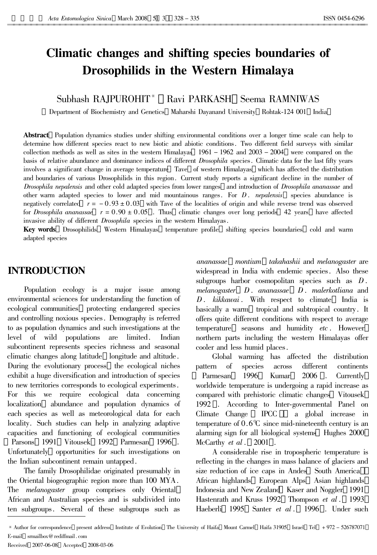# Climatic changes and shifting species boundaries of **Drosophilids in the Western Himalaya**

#### Subhash RAIPUROHIT<sup>\*</sup> Ravi PARKASH Seema RAMNIWAS

Department of Biochemistry and Genetics Maharshi Dayanand University Rohtak-124 001 India

**Abstract** Population dynamics studies under shifting environmental conditions over a longer time scale can help to determine how different species react to new biotic and abiotic conditions. Two different field surveys with similar collection methods as well as sites in the western Himalayas  $1961 - 1962$  and  $2003 - 2004$  were compared on the basis of relative abundance and dominance indices of different *Drosophila* species. Climatic data for the last fifty years involves a significant change in average temperature Tave of western Himalayas which has affected the distribution and boundaries of various Drosophilids in this region. Current study reports a significant decline in the number of Drosophila nepalensis and other cold adapted species from lower ranges and introduction of Drosophila ananassae and other warm adapted species to lower and mid mountainous ranges. For  $D$ . nepalensis species abundance is negatively correlated  $r = -0.93 \pm 0.03$  with Tave of the localities of origin and while reverse trend was observed for *Drosophila ananassae*  $r = 0.90 \pm 0.05$ . Thus climatic changes over long periods 42 years have affected invasive ability of different *Drosophila* species in the western Himalayas.

Key words Drosophilids Western Himalayas temperature profile shifting species boundaries cold and warm adapted species

## **INTRODUCTION**

Population ecology is a major issue among environmental sciences for understanding the function of ecological communities protecting endangered species and controlling noxious species. Demography is referred to as population dynamics and such investigations at the level of wild populations are limited. Indian subcontinent represents species richness and seasonal climatic changes along latitude longitude and altitude. During the evolutionary process the ecological niches exhibit a huge diversification and introduction of species to new territories corresponds to ecological experiments. For this we require ecological data concerning localization abundance and population dynamics of each species as well as meteorological data for each locality. Such studies can help in analyzing adaptive capacities and functioning of ecological communities Parsons 1991 Vitousek 1992 Parmesan 1996, Unfortunately opportunities for such investigations on the Indian subcontinent remain untapped.

The family Drosophilidae originated presumably in the Oriental biogeographic region more than 100 MYA. The *melanogaster* group comprises only Oriental African and Australian species and is subdivided into ten subgroups. Several of these subgroups such as

ananassae montium takahashii and melanogaster are widespread in India with endemic species. Also these subgroups harbor cosmopolitan species such as  $D$ .  $melanogaster$   $D.$  ananassae  $D.$  malerkotliana and D. kikkawai. With respect to climate India is basically a warm tropical and subtropical country. It offers quite different conditions with respect to average seasons and humidity etc. However temperature northern parts including the western Himalayas offer cooler and less humid places.

Global warming has affected the distribution pattern  $\sigma$ species across different continents 1996 Kumar 2006 Currently Parmesan  $\mathbf{r}$ worldwide temperature is undergoing a rapid increase as compared with prehistoric climatic changes Vitousek 1992. According to Inter-governmental Panel on Climate Change **IPCC** a global increase in temperature of  $0.6^{\circ}$  since mid-nineteenth century is an alarming sign for all biological systems Hughes 2000 McCarthy et al. 2001

A considerable rise in tropospheric temperature is reflecting in the changes in mass balance of glaciers and size reduction of ice caps in Andes South America African highlands European Alps Asian highlands Indonesia and New Zealand Kaser and Noggler 1991 Hastenrath and Kruss 1992 Thompson *et al.* 1993 Haeberli 1995 Santer et al. 1996 . Under such

<sup>\*</sup> Author for correspondence present address Institute of Evolution The University of Haifa Mount Carmel Haifa 31905 Israel Tel +972 - 526787071 E-mail srmailbox@rediffmail.com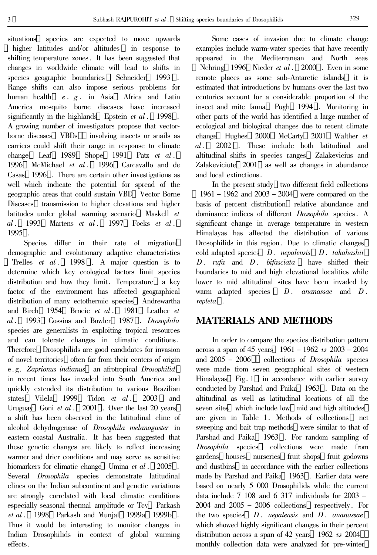situations species are expected to move upwards higher latitudes and/or altitudes in response to shifting temperature zones. It has been suggested that changes in worldwide climate will lead to shifts in species geographic boundaries Schneider 1993. Range shifts can also impose serious problems for human health e. g. in Asia Africa and Latin America mosquito borne diseases have increased significantly in the highlands Epstein  $et \ al.$  1998. A growing number of investigators propose that vectorborne diseases VBDs involving insects or snails as carriers could shift their range in response to climate change Leaf 1989 Shope 1991 Patz  $et \, al.$ 1996 McMichael et al. 1996 Carcavallo and de Casas 1996 . There are certain other investigations as well which indicate the potential for spread of the geographic areas that could sustain VBD Vector Borne Diseases transmission to higher elevations and higher latitudes under global warming scenario Maskell et Martens *et al*  $. 1997$  $al.$ 1993 Focks  $et \, al.$ 1995.

Species differ in their rate of migration demographic and evolutionary adaptive characteristics 1998. A major question is to Trelles  $et \text{ } al.$ determine which key ecological factors limit species distribution and how they limit. Temperature a key factor of the environment has affected geographical distribution of many ectothermic species Andrewartha and Birch 1954 Brneie et al. 1981 Leather et al. 1993 Cossins and Bowler 1987. Drosophila species are generalists in exploiting tropical resources and can tolerate changes in climatic conditions. Therefore Drosophilids are good candidates for invasion of novel territories often far from their centers of origin e.g. Zaprionus indianus an afrotropical Drosophilid in recent times has invaded into South America and quickly extended its distribution to various Brazilian states Vilela 1999 Tidon et al. 2003 and Uruguay Goni et al.  $2001$ . Over the last 20 years a shift has been observed in the latitudinal cline of alcohol dehydrogenase of *Drosophila melanogaster* in eastern coastal Australia. It has been suggested that these genetic changes are likely to reflect increasing warmer and drier conditions and may serve as sensitive biomarkers for climatic change Umina et al. 2005. Several *Drosophila* species demonstrate latitudinal clines on the Indian subcontinent and genetic variations are strongly correlated with local climatic conditions especially seasonal thermal amplitude or Tcv Parkash *et al*. 1998 Parkash and Munjal 1999a 1999b. Thus it would be interesting to monitor changes in Indian Drosophilids in context of global warming effects.

Some cases of invasion due to climate change examples include warm-water species that have recently appeared in the Mediterranean and North seas Nehring 1996 Nieder et al. 2000. Even in some remote places as some sub-Antarctic islands it is estimated that introductions by humans over the last two centuries account for a considerable proportion of the insect and mite fauna Pugh 1994. Monitoring in other parts of the world has identified a large number of ecological and biological changes due to recent climate change Hughes 2000 McCarty 2001 Walther et  $al.$ 2002. These include both latitudinal and altitudinal shifts in species ranges Zalakevicius and Zalakeviciute 2001 as well as changes in abundance and local extinctions.

In the present study two different field collections  $1961 - 1962$  and  $2003 - 2004$  were compared on the basis of percent distribution relative abundance and dominance indices of different *Drosophila* species. A significant change in average temperature in western Himalayas has affected the distribution of various Drosophilids in this region. Due to climatic changes cold adapted species  $D$ . *nepalensis*  $D$ . *takahashii*  $D.$  rufa and  $D.$  bifasciata have shifted their boundaries to mid and high elevational localities while lower to mid altitudinal sites have been invaded by warm adapted species  $D.$  ananassae and  $D$ . repleta.

# **MATERIALS AND METHODS**

In order to compare the species distribution pattern across a span of 45 years  $1961 - 1962$  vs  $2003 - 2004$ and  $2005 - 2006$ collections of *Drosophila* species were made from seven geographical sites of western Himalayas Fig. 1 in accordance with earlier survey conducted by Parshad and Paika 1963. Data on the altitudinal as well as latitudinal locations of all the seven sites which include low mid and high altitudes are given in Table 1. Methods of collections net sweeping and bait trap methods were similar to that of Parshad and Paika 1963. For random sampling of *Drosophila* species collections were made from gardens houses nurseries fruit shops fruit godowns and dustbins in accordance with the earlier collections made by Parshad and Paika 1963. Earlier data were based on nearly 5 000 Drosophilids while the current data include  $7\,108$  and  $6\,317$  individuals for  $2003$  - $2004$  and  $2005 - 2006$  collections respectively. For the two species  $D$ . *nepalensis* and  $D$ . *ananassae* which showed highly significant changes in their percent distribution across a span of 42 years 1962  $\upsilon$  2004 monthly collection data were analyzed for pre-winter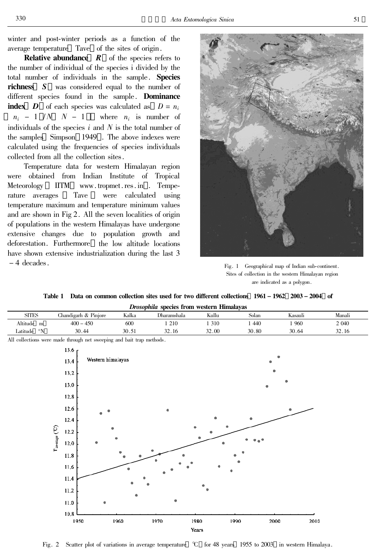winter and post-winter periods as a function of the average temperature Tave of the sites of origin.

**Relative abundance**  $R$  of the species refers to the number of individual of the species i divided by the total number of individuals in the sample. Species **richness** S was considered equal to the number of different species found in the sample. **Dominance index D** of each species was calculated as  $D = n_i$  $n_i - 1/N$  N - 1 where  $n_i$  is number of individuals of the species  $i$  and  $N$  is the total number of the samples Simpson 1949. The above indexes were calculated using the frequencies of species individuals collected from all the collection sites.

Temperature data for western Himalayan region were obtained from Indian Institute of Tropical Meteorology **IITM** www.tropmet.res.in . Tempe-Tave were calculated using rature averages temperature maximum and temperature minimum values and are shown in Fig 2. All the seven localities of origin of populations in the western Himalayas have undergone extensive changes due to population growth and deforestation. Furthermore the low altitude locations have shown extensive industrialization during the last 3  $-4$  decades.



Fig. 1 Geographical map of Indian sub-continent. Sites of collection in the western Himalayan region are indicated as a polygon.

### Table 1 Data on common collection sites used for two different collections 1961 – 1962 2003 – 2004 of

|                               |                                                                       |       | Drosophila species from western Himalayas |                  |                        |         |         |
|-------------------------------|-----------------------------------------------------------------------|-------|-------------------------------------------|------------------|------------------------|---------|---------|
| $\rm SITES$                   | Chandigarh & Pinjore                                                  | Kalka | Dharamshala                               | Kullu            | $\operatorname{Solar}$ | Kasauli | Manali  |
| Altitude m                    | $400 - 450$                                                           | 600   | 1 2 1 0                                   | 1 3 1 0          | 1 4 4 0                | 1 960   | 2 0 4 0 |
| Latitude $~^\circ \mathrm{N}$ | 30.44                                                                 | 30.51 | 32.16                                     | 32.00            | 30.80                  | 30.64   | 32.16   |
|                               | All collections were made through net sweeping and bait trap methods. |       |                                           |                  |                        |         |         |
|                               | 13.6 <sub>1</sub>                                                     |       |                                           |                  |                        |         |         |
|                               | Western himalayas<br>13.4                                             |       |                                           |                  |                        |         |         |
|                               |                                                                       |       |                                           |                  |                        |         |         |
|                               | 13.2                                                                  |       |                                           |                  |                        |         |         |
|                               | 13.0                                                                  |       |                                           |                  |                        |         |         |
|                               |                                                                       |       |                                           |                  |                        |         |         |
|                               | 12,8                                                                  |       |                                           |                  |                        |         |         |
|                               | 12.6                                                                  |       |                                           |                  |                        |         |         |
|                               | 12.4                                                                  |       |                                           |                  |                        |         |         |
|                               |                                                                       |       |                                           |                  |                        |         |         |
|                               | 12.2                                                                  |       |                                           |                  |                        |         |         |
|                               | $T_{average} (C)$<br>12,0                                             |       |                                           |                  |                        |         |         |
|                               | $11.8\,$                                                              |       |                                           |                  |                        |         |         |
|                               |                                                                       |       |                                           |                  |                        |         |         |
|                               | 11,6                                                                  |       |                                           |                  |                        |         |         |
|                               | $11.4\,$                                                              |       |                                           |                  |                        |         |         |
|                               | $11.2\,$                                                              |       |                                           |                  |                        |         |         |
|                               |                                                                       |       |                                           |                  |                        |         |         |
|                               | $11.0\,$                                                              |       |                                           |                  |                        |         |         |
|                               | 10,8                                                                  |       |                                           |                  |                        |         |         |
|                               | 1950                                                                  | 1960  | 1970                                      | 1980             | 1990<br>2000           | 2010    |         |
|                               |                                                                       |       |                                           | $V_{\text{max}}$ |                        |         |         |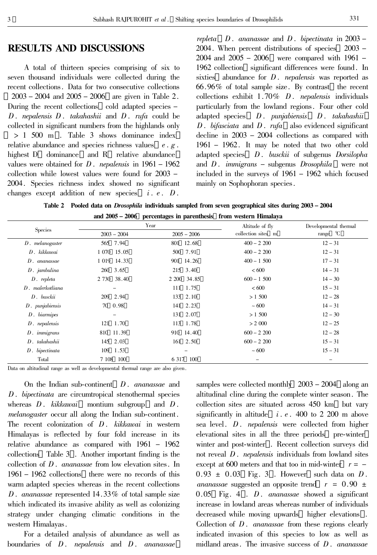# **RESULTS AND DISCUSSIONS**

A total of thirteen species comprising of six to seven thousand individuals were collected during the recent collections. Data for two consecutive collections  $2003 - 2004$  and  $2005 - 2006$  are given in Table 2. During the recent collections cold adapted species -D. nepalensis  $D$ . takahashii and  $D$ . rufa could be collected in significant numbers from the highlands only  $> 1$  500 m . Table 3 shows dominance index relative abundance and species richness values  $e \cdot g$ . highest D dominance and R relative abundance values were obtained for  $D$ . *nepalensis* in  $1961 - 1962$ collection while lowest values were found for 2003 -2004. Species richness index showed no significant changes except addition of new species  $i. e. D.$ 

repleta  $D$ . ananassae and  $D$ . bipectinata in 2003 – 2004. When percent distributions of species 2003 –  $2004$  and  $2005 - 2006$  were compared with 1961 -1962 collection significant differences were found. In sixties abundance for  $D$ . *nepalensis* was reported as 66.96% of total sample size. By contrast the recent collections exhibit  $1.70\%$  D. nepalensis individuals particularly from the lowland regions. Four other cold adapted species  $D.$  punjabiensis  $D.$  takahashii  $D$ . bifasciata and  $D$ . rufa also evidenced significant decline in  $2003 - 2004$  collections as compared with  $1961 - 1962$ . It may be noted that two other cold adapted species  $D$ . busckii of subgenus Dorsilopha and  $D$ . *immigrans* – subgenus *Drosophila* were not included in the surveys of 1961 - 1962 which focused mainly on Sophophoran species.

Table 2 Pooled data on *Drosophila* individuals sampled from seven geographical sites during 2003 - 2004 and 2005 – 2006 percentages in parenthesis from western Himalaya

| <b>Species</b>          |                                                      | Ō<br>Year   | Altitude of fly     | Developmental thermal |  |
|-------------------------|------------------------------------------------------|-------------|---------------------|-----------------------|--|
|                         | collection sites m<br>$2003 - 2004$<br>$2005 - 2006$ |             | range $\mathcal{C}$ |                       |  |
| $D.$ melanogaster       | 565 7.94                                             | 801 12.68   | $400 - 2200$        | $12 - 31$             |  |
| $D.$ kikkawai           | 1 070 15.05                                          | 500 7.91    | $400 - 2200$        | $12 - 31$             |  |
| $D.$ ananassae          | 1 019 14.33                                          | 901 14.26   | $400 - 1500$        | $17 - 31$             |  |
| $D.$ jambulina          | 260 3.65                                             | 215 3.40    | <600                | $14 - 31$             |  |
| $D.$ repleta            | 2 730 38.40                                          | 2 200 34.85 | $600 - 1500$        | $14 - 30$             |  |
| $D.$ malerkotliana      | -                                                    | 111 1.75    | <600                | $15 - 31$             |  |
| $D.$ busckii            | 209 2.94                                             | 133 2.10    | > 1,500             | $12 - 28$             |  |
| $D.$ punjabiensis       | 70 0.98                                              | 141 2.23    | ~1000               | $14 - 31$             |  |
| $D.$ biarmipes          | -                                                    | 131 2.07    | > 1,500             | $12 - 30$             |  |
| $D$ . <i>nepalensis</i> | 121 1.70                                             | 113 1.78    | > 2000              | $12 - 25$             |  |
| $D.$ immigrans          | 810 11.39                                            | 910 14.40   | $600 - 2200$        | $12 - 28$             |  |
| $D.$ takahashii         | 145 2.03                                             | 161 2.50    | $600 - 2200$        | $15 - 31$             |  |
| $D.$ bipectinata        | 109 1.53                                             |             | ~1000               | $15 - 31$             |  |
| Total                   | 7 108 100                                            | 6 317 100   |                     |                       |  |

Data on altitudinal range as well as developmental thermal range are also given.

On the Indian sub-continent  $D$ . ananassae and  $D$ . bipectinata are circumtropical stenothermal species whereas  $D$ . kikkawai montium subgroup and  $D$ . *melanogaster* occur all along the Indian sub-continent. The recent colonization of D. kikkawai in western Himalayas is reflected by four fold increase in its relative abundance as compared with  $1961 - 1962$ collections Table 3. Another important finding is the collection of  $D$ . *ananassae* from low elevation sites. In  $1961 - 1962$  collections there were no records of this warm adapted species whereas in the recent collections D. ananassae represented 14.33% of total sample size which indicated its invasive ability as well as colonizing strategy under changing climatic conditions in the western Himalayas.

For a detailed analysis of abundance as well as boundaries of  $D$ . *nepalensis* and  $D$ . *ananassae* 

samples were collected monthly  $2003 - 2004$  along an altitudinal cline during the complete winter season. The collection sites are situated across 450 km but vary significantly in altitude  $i.e.$  400 to 2 200 m above sea level. *D. nepalensis* were collected from higher elevational sites in all the three periods pre-winter winter and post-winter. Recent collection surveys did not reveal  $D$ . *nepalensis* individuals from lowland sites except at 600 meters and that too in mid-winter  $r = 0.93 \pm 0.03$  Fig. 3. However such data on D. *ananassae* suggested an opposite trend  $r = 0.90 \pm$  $0.05$  Fig. 4. *D. ananassae* showed a significant increase in lowland areas whereas number of individuals decreased while moving upwards higher elevations. Collection of  $D$ . *ananassae* from these regions clearly indicated invasion of this species to low as well as midland areas. The invasive success of  $D$ . ananassae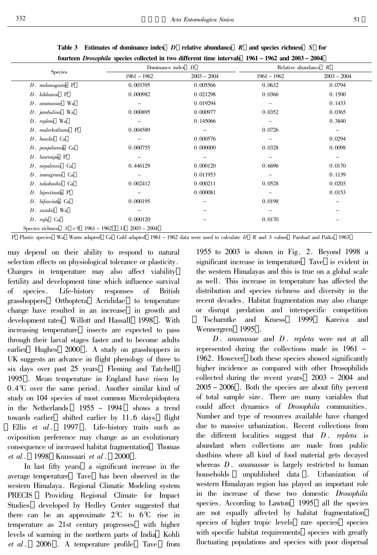|                                      | Dominance index $D$ |               |                          | Relative abundance<br>$\overline{R}$ |  |
|--------------------------------------|---------------------|---------------|--------------------------|--------------------------------------|--|
| Species                              | $1961 - 1962$       | $2003 - 2004$ | $1961 - 1962$            | $2003 - 2004$                        |  |
| $D.$ melanogaster $P$                | 0.003395            | 0.005566      | 0.0632                   | 0.0794                               |  |
| D. kikkawai P                        | 0.000982            | 0.021298      | 0.0366                   | 0.1500                               |  |
| $D.$ ananassae Wa                    |                     | 0.019294      | $\qquad \qquad -$        | 0.1433                               |  |
| $D.$ jambulina Wa                    | 0.000895            | 0.000977      | 0.0352                   | 0.0365                               |  |
| $D.$ repleta Wa                      |                     | 0.145066      | -                        | 0.3840                               |  |
| $D.$ malerkotliana $P$               | 0.004589            | -             | 0.0726                   | -                                    |  |
| $D.$ busckii $Ca$                    |                     | 0.000576      | $\overline{\phantom{m}}$ | 0.0294                               |  |
| $D$ . punjabiensis $Ca$              | 0.000755            | 0.000000      | 0.0328                   | 0.0098                               |  |
| $D.$ biarmipes $P$                   |                     | -             | $\overline{\phantom{m}}$ | $\qquad \qquad -$                    |  |
| $D$ . nepalensis $Ca$                | 0.446129            | 0.000120      | 0.6696                   | 0.0170                               |  |
| $D.$ immigrans $Ca$                  |                     | 0.011953      | $\qquad \qquad -$        | 0.1139                               |  |
| D. takahashii Ca                     | 0.002412            | 0.000211      | 0.0528                   | 0.0203                               |  |
| $D.$ bipectinata $P$                 |                     | 0.000081      |                          | 0.0153                               |  |
| $D.$ bifasciata Ca                   | 0.000195            |               | 0.0198                   |                                      |  |
| $D.$ suzukii Wa                      |                     |               |                          |                                      |  |
| $D. rufa$ Ca                         | 0.000120            |               | 0.0170                   |                                      |  |
| Species richness $S = 9$ 1961 – 1962 | $2003 - 2004$<br>11 |               |                          |                                      |  |

Table 3 Estimates of dominance index  $\bm{D}$  relative abundance  $\bm{R}$  and species richness  $\bm{S}$  for fourteen *Drosophila* species collected in two different time intervals 1961 – 1962 and 2003 – 2004

P Plastic species Wa Warm adapted Ca Cold adapted 1961 - 1962 data were used to calculate D R and S values Parshad and Paika 1963

may depend on their ability to respond to natural selection effects on physiological tolerance or plasticity. Changes in temperature may also affect viability fertility and development time which influence survival  $\sigma$ species. Life-history responses of **British** grasshoppers Orthoptera Acrididae to temperature change have resulted in an increase in growth and development rates Willott and Hassall 1998. With increasing temperature insects are expected to pass through their larval stages faster and to become adults earlier Hughes 2000. A study on grasshoppers in UK suggests an advance in flight phenology of three to six days over past 25 years Fleming and Tatchell 1995. Mean temperature in England have risen by  $0.4^{\circ}$  over the same period. Another similar kind of study on 104 species of most common Microlepidoptera in the Netherlands  $1955 - 1994$ shows a trend towards earlier shifted earlier by 11.6 days flight Ellis  $et \, al.$ 1997 . Life-history traits such as oviposition preference may change as an evolutionary consequence of increased habitat fragmentation Thomas  $et al.$ 1998 Kuussaari et al. 2000.

In last fifty years a significant increase in the average temperature Tave has been observed in the western Himalaya. Regional Climatic Modeling system **PRECIS** Providing Regional Climate for Impact Studies developed by Hedley Center suggested that there can be an approximate  $2^{\circ}C$  to  $6^{\circ}C$  rise in temperature as 21st century progresses with higher levels of warming in the northern parts of India Kohli *et al*. 2006. A temperature profile Tave from

1955 to 2003 is shown in Fig. 2. Beyond 1998 a significant increase in temperature Tave is evident in the western Himalayas and this is true on a global scale as well. This increase in temperature has affected the distribution and species richness and diversity in the recent decades. Habitat fragmentation may also change or disrupt predation and interspecific competition Tscharntke 1999 Kareiva and Kruess and Wennergren 1995.

 $D.$  ananassae and  $D.$  repleta were not at all represented during the collections made in  $1961 -$ 1962. However both these species showed significantly higher incidence as compared with other Drosophilids collected during the recent years  $2003 - 2004$  and  $2005 - 2006$ . Both the species are about fifty percent of total sample size. There are many variables that could affect dynamics of *Drosophila* communities. Number and type of resources available have changed due to massive urbanization. Recent collections from the different localities suggest that  $D$ . repleta is abundant when collections are made from public dustbins where all kind of food material gets decayed whereas  $D$ . *ananassae* is largely restricted to human households unpublished data . Urbanization of western Himalayan region has played an important role in the increase of these two domestic *Drosophila* species. According to Lawton 1995 all the species are not equally affected by habitat fragmentation species of higher tropic levels rare species species with specific habitat requirements species with greatly fluctuating populations and species with poor dispersal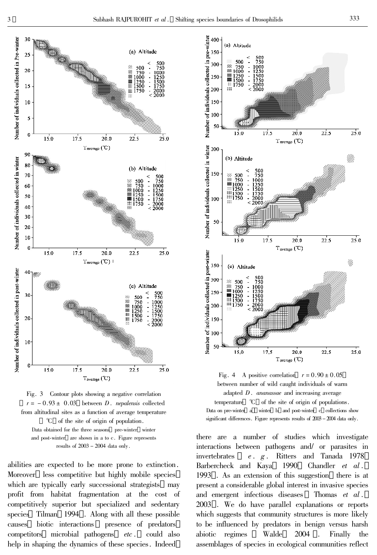



abilities are expected to be more prone to extinction. Moreover less competitive but highly mobile species which are typically early successional strategists may profit from habitat fragmentation at the cost of competitively superior but specialized and sedentary Tilman 1994. Along with all these possible species biotic interactions presence of predators causes microbial pathogens could also competitors  $etc.$ help in shaping the dynamics of these species. Indeed



Fig. 4 A positive correlation  $r = 0.90 \pm 0.05$ between number of wild caught individuals of warm adapted  $D$ . *ananassae* and increasing average temperature  $\mathcal{C}$  of the site of origin of populations. Data on pre-winter a winter b and post-winter c collections show significant differences. Figure represents results of  $2008 - 2004$  data only.

there are a number of studies which investigate interactions between pathogens and/ or parasites in Ritters and Tanada 1978 invertebrates  $e. g.$ Barbercheck and Kava 1990 Chandler  $et \text{ } al$ . 1993. As an extension of this suggestion there is at present a considerable global interest in invasive species and emergent infectious diseases Thomas et al. 2003. We do have parallel explanations or reports which suggests that community structures is more likely to be influenced by predators in benign versus harsh Walde 2004 abiotic regimes Finally the assemblages of species in ecological communities reflect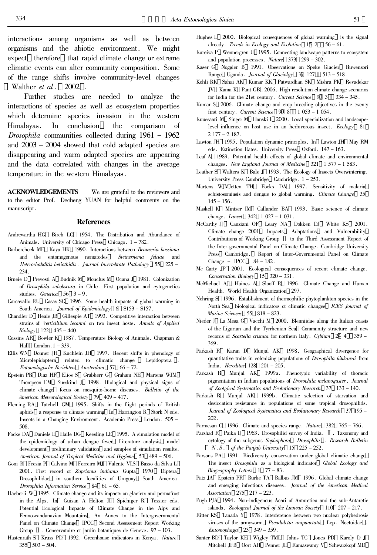interactions among organisms as well as between organisms and the abiotic environment. We might expect therefore that rapid climate change or extreme climatic events can alter community composition. Some of the range shifts involve community-level changes Walther *et al*  $\ldots$  2002.

Further studies are needed to analyze the interactions of species as well as ecosystem properties which determine species invasion in the western Himalayas. In conclusion the comparison of *Drosophila* communities collected during  $1961 - 1962$ and  $2003 - 2004$  showed that cold adapted species are disappearing and warm adapted species are appearing and the data correlated with changes in the average temperature in the western Himalayas.

**ACKNOWLEDGEMENTS** We are grateful to the reviewers and to the editor Prof. Decheng YUAN for helpful comments on the manuscript.

### **References**

- Andrewartha HG Birch LC 1954. The Distribution and Abundance of Animals. University of Chicago Press Chicago. 1 - 782.
- Barbercheck ME Kaya HK 1990. Interactions between Beauveria bassiana and the entomogenous nematodes Steinernema feltiae and Heterorhabditis heliothidis . Journal Invertebrate Pathology 55 225 -234
- Brneie D Prevosti A Budnik M Monclus M Ocana J 1981. Colonization of Drosophila subobscura in Chile. First population and cytogenetics studies. Genetica  $56 \quad 3-9$ .
- Carcavallo RU Casas SC 1996. Some health impacts of global warming in South America. Journal of Epidemiology 6 S153 - S157.
- Chandler D Heale JB Gillespie AT 1993. Competitive interaction between strains of Verticillium lecanni on two insect hosts. Annals of Applied  $Biology$  122 435 - 440.
- Cossins AR Bowler K 1987. Temperature Biology of Animals. Chapman & Hall London.  $1 - 339$ .
- Ellis WN Donner JH Kuchlein JH 1997. Recent shifts in phenology of Microlepidoptera related to climatic change Lepidoptera. Entomologische Berichten Amsterdam 57 66 - 72.
- Epstein PR Diaz HF Elios S Grabherr G Graham NE Martens WJM Thompson EM Susskind J 1998. Biological and physical signs of climate change focus on mosquito-borne diseases. Bulletin of the American Meteorological Society 79 409 - 417.
- Fleming RA Tatchell GM 1995. Shifts in the flight periods of British aphids a response to climate warming In Harrington R Stork N eds. Insects in a Changing Environment. Academic Press London. 505 -508.
- Focks DA Daniels E Haile DG Keesling LE 1995. A simulation model of the epidemiology of urban dengue fever Literature analysis model development preliminary validation and samples of simulation results. American Journal of Tropical Medicine and Hygiene 53 489 - 506.
- Goni B Fresia P Calvino M Ferreiro MJ Valente VLS Basso da Silva L 2001. First record of Zaprionus indianus Gupta 1970 Diptera Drosophilidae in southern localities of Uruguay South America. Drosophila Information Service  $84 \quad 61-65$ .
- Haeberli W 1995. Climate change and its impacts on glaciers and permafrost in the Alps. In Guisan A Holton JI Spichiger R Tessier eds. Potential Ecological Impacts of Climate Change in the Alps and Fennoscandanavian Mountains An Annex to the Intergovernmental Panel on Climate Change IPCC Second Assessment Report Working Group  $\llbracket$ . Conservatoire et jardin botaniques de Geneve. 97 – 103.
- Hastenrath S Kruss PD 1992. Greenhouse indicators in Kenya. Nature  $355$   $503 - 504$ .
- Hughes L 2000. Biological consequences of global warming is the signal already. Trends in Ecology and Evolution  $15\,2\quad 56-61$ .
- Kareiva P Wennergren U 1995. Connecting landscape patterns to ecosystem and population processes. Nature 373 299 - 302.
- Kaser G Noggler B 1991. Observations on Speke Glacier Ruwenzori Range Uganda. Journal of Glaciolgy 37 127 513 - 518.
- Kohli RK Sahai AK Kumar KK Patwardhan SK Mishra PK Revadekar JV Kama K Pant GB 2006. High resolution climate change scenarios for India for the 21st century. Current Science  $90\,3 - 334 - 345$ .
- Kumar S 2006. Climate change and crop breeding objectives in the twenty first century. Current Science 90 8 1 053 - 1 054.
- Kuussaari M Singer M Hanski I 2000. Local specialization and landscapelevel influence on host use in an herbivorous insect. Ecology 81  $2177 - 2187.$
- Lawton JH 1995. Population dynamic principles. In Lawton JH May RM eds. Extinction Rates. University Press Oxford. 147 - 163.
- Leaf A 1989. Potential health effects of global climate and environmental changes. New England Journal of Medicine  $321 \quad 1577 - 1583$ .
- Leather S Walters K Bale J 1993. The Ecology of Insects Overwintering. University Press Cambridge Cambridge.  $1 - 253$ .
- Martens WJMJetten TH Focks DA 1997. Sensitivity of malaria schistosomiasis and dengue to global warming. Climate Change 35  $145 - 156$ .
- Maskell K Mintzer IM Callander BA 1993. Basic science of climate change. *Lancet* 342 1027 - 1031.
- McCarthy II Canziani OF Leary NA Dokken DJ White KS 2001. Climate change 2001 Impacts Adaptations and Vulnerability Contributions of Working Group II to the Third Assessment Report of the Inter-governmental Panel on Climate Change. Cambridge University Press Cambridge. Report of Inter-Governmental Panel on Climate Change - IPCC  $.84-182$ .
- Mc Carty JP 2001. Ecological consequences of recent climate change.  $Conservation\, \, Biology \quad 15\quad 320-331\,.$
- McMichael AJ Haines A Slooff R 1996. Climate Change and Human Health. World Health Organization 297.
- Nehring S 1996. Establishment of thermophilic phytoplankton species in the North Sea biological indicators of climatic changes ICES Journal of Marine Sciences 55 818 - 823.
- Nieder J La Mesa G Vacchi M 2000. Blenniidae along the Italian coasts of the Ligurian and the Tyrrhenian Sea Community structure and new records of Scartella cristata for northern Italy. Cybium 24 4 359 -369.
- Parkash R Karan D Munjal AK 1998. Geographical divergence for quantitative traits in colonizing populations of Drosophila kikkawai from India. Hereditas  $128$   $201 - 205$ .
- Parkash R Munjal AK 1999a. Phenotypic variability of thoracic pigmentation in Indian populations of Drosophila melanogaster. Journal of Zoolgical Systematics and Evolutionary Research 37 133 - 140.
- Parkash R Munjal AK 1999b. Climatic selection of starvation and desiccation resistance in populations of some tropical drosophilids. Journal of Zoological Systematics and Evolutionary Research 37 195 -202.
- Parmesan C 1996. Climate and species range. Nature 382 765 766.
- Parshad R Paika IJ 1963. Drosophilid survey of India. II. Taxonomy and cytology of the subgenus Sophophora Drosophila . Research Bulletin  $N.S.$  of the Panjab University 15 225 - 252.
- Parsons PA 1991. Biodiversity conservation under global climatic change The insect Drosophila as a biological indicator Global Ecology and  $Biogeography$  Letters  $177 - 83$ .
- Patz JA Epstein PR Burke TA Balbus JM 1996. Global climate change and emerging infectious diseases. Journal of the American Medical  $\label{eq:2.1} Association \quad 275 \quad 217-223 \,.$
- Pugh PJA 1994. Non-indigenous Acari of Antarctica and the sub-Antarctic islands. Zoological Journal of the Linnean Society 110 207 - 217.
- Ritter KS Tanada Y 1978. Interference between two nuclear polyhedrosis viruses of the armyworm Pseudaletia unipunctata Lep. Noctuidae. Entomophaga 23 349 - 359.
- Santer BD Taylor KE Wigley TML Johns TC Jones PD Karoly D J Mitchell JFB Oort AH Penner JE Ramaswamy V Schwarzkopf MD